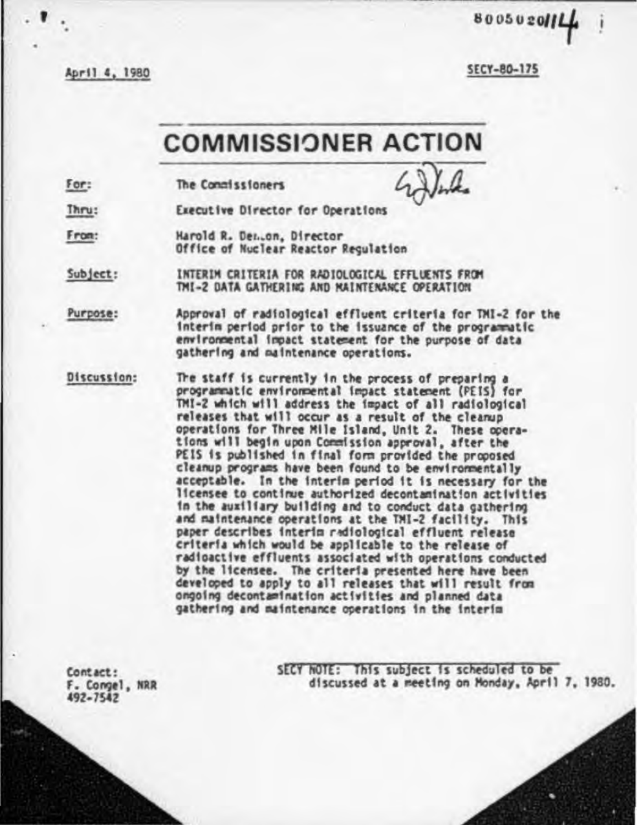April 4, 1980

**SECY-80-175** 

800502011

## **COMMISSIONER ACTION**

 $For:$ The Congissioners

Executive Director for Operations Thru:

From: Harold R. Den.on, Director Office of Nuclear Reactor Regulation

INTERIM CRITERIA FOR RADIOLOGICAL EFFLUENTS FROM Subject: TMI-2 DATA GATHERING AND NAINTENANCE OPERATION

Purpose: Approval of radiological effluent criteria for TMI-2 for the interim period prior to the issuance of the programmatic environmental impact statement for the purpose of data gathering and maintenance operations.

Discussion: The staff is currently in the process of preparing a programmatic environmental impact statement (PEIS) for TMI-2 which will address the impact of all radiological releases that will occur as a result of the cleanup operations for Three Mile Island, Unit 2. These operations will begin upon Commission approval, after the PEIS is published in final form provided the proposed cleanup programs have been found to be environmentally acceptable. In the interim period it is necessary for the licensee to continue authorized decontamination activities in the auxiliary building and to conduct data gathering and maintenance operations at the TMI-2 facility. This paper describes interim radiological effluent release criteria which would be applicable to the release of radioactive effluents associated with operations conducted by the licensee. The criteria presented here have been developed to apply to all releases that will result from ongoing decontamination activities and planned data gathering and maintenance operations in the interim

Contact: F. Congel, NRR 492-7542

SECY NOTE: This subject is scheduled to be discussed at a meeting on Monday, April 7, 1980.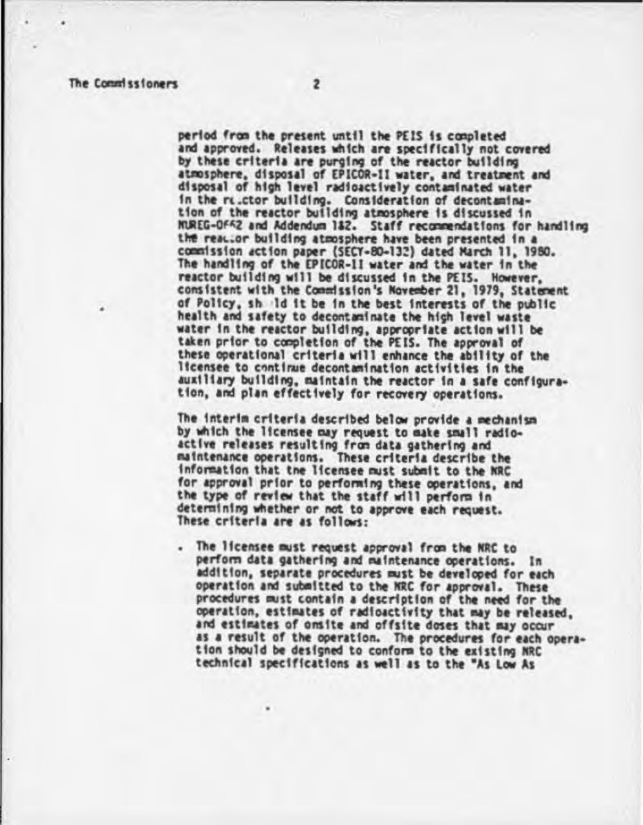period from the present until the PEIS is completed and approved. Releases which are specifically not covered by these criteria are purging of the reactor building atmosphere, disposal of EPICOR-II water, and treatment and disposal of high level radioactively contaminated water in the rulctor building. Consideration of decontamination of the reactor building atmosphere is discussed in MUREG-OFF2 and Addendum 182. Staff recommendations for handling the reactor building atmosphere have been presented in a commission action paper (SECY-80-132) dated March 11, 1980. The handling of the EPICOR-11 water and the water in the reactor building will be discussed in the PEIS. However, consistent with the Commission's November 21, 1979, Statement of Policy, shall it be in the best interests of the public health and safety to decontaminate the high level waste water in the reactor building, appropriate action will be taken prior to completion of the PEIS. The approval of these operational criteria will enhance the ability of the licensee to continue decontamination activities in the auxiliary building, maintain the reactor in a safe configuration, and plan effectively for recovery operations.

The interim criteria described below provide a mechanism by which the licensee may request to make small radioactive releases resulting from data gathering and maintenance operations. These criteria describe the information that the licensee must submit to the NRC for approval prior to performing these operations, and the type of review that the staff will perform in determining whether or not to approve each request. These criteria are as follows:

The licensee must request approval from the NRC to perform data gathering and maintenance operations. In addition, separate procedures must be developed for each operation and submitted to the NRC for approval. These procedures must contain a description of the need for the operation, estimates of radioactivity that may be released, and estimates of onsite and offsite doses that may occur as a result of the operation. The procedures for each operation should be designed to conform to the existing NRC technical specifications as well as to the "As Low As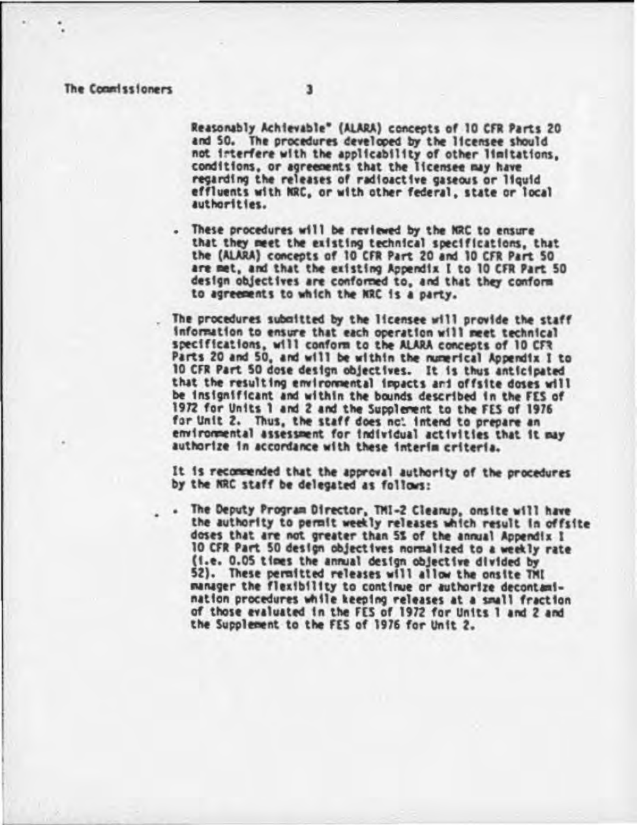## The Commissioners

Reasonably Achievable" (ALARA) concepts of 10 CFR Parts 20 and 50. The procedures developed by the licensee should not interfere with the applicability of other limitations, conditions, or agreements that the licensee may have regarding the releases of radioactive gaseous or liquid effluents with NRC, or with other federal, state or local authorities.

. These procedures will be reviewed by the NRC to ensure that they meet the existing technical specifications, that the (ALARA) concepts of 10 CFR Part 20 and 10 CFR Part 50 are met, and that the existing Appendix I to 10 CFR Part 50 design objectives are conformed to, and that they conform to agreements to which the NRC is a party.

The procedures submitted by the licensee will provide the staff information to ensure that each operation will meet technical specifications, will conform to the ALARA concepts of 10 CFR Parts 20 and 50, and will be within the numerical Appendix I to 10 CFR Part 50 dose design objectives. It is thus anticipated that the resulting environmental impacts and offsite doses will be insignificant and within the bounds described in the FES of 1972 for Units 1 and 2 and the Supplement to the FES of 1976 for Unit 2. Thus, the staff does not intend to prepare an environmental assessment for individual activities that it may authorize in accordance with these interim criteria.

It is recommended that the approval authority of the procedures by the NRC staff be delegated as follows:

. The Deputy Program Director, TMI-2 Cleanup, onsite will have the authority to permit weekly releases which result in offsite doses that are not greater than 5% of the annual Appendix I 10 CFR Part 50 design objectives normalized to a weekly rate (i.e. 0.05 times the annual design objective divided by 52). These permitted releases will allow the onsite TMI manager the flexibility to continue or authorize decontamination procedures while keeping releases at a small fraction of those evaluated in the FES of 1972 for Units 1 and 2 and the Supplement to the FES of 1976 for Unit 2.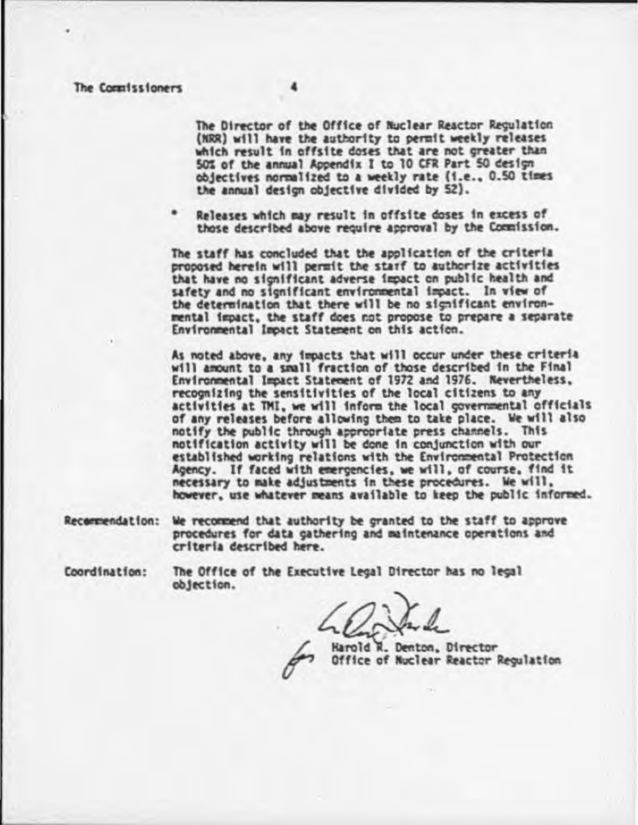The Commissioners

The Director of the Office of Nuclear Reactor Regulation (NRR) will have the authority to permit weekly releases which result in offsite doses that are not greater than 50% of the annual Appendix I to 10 CFR Part 50 design objectives normalized to a weekly rate (i.e., 0.50 times) the annual design objective divided by 52).

Releases which may result in offsite doses in excess of those described above require approval by the Commission.

The staff has concluded that the application of the criteria proposed herein will permit the starf to authorize activities that have no significant adverse impact on public health and safety and no significant environmental impact. In view of the determination that there will be no significant environmental impact, the staff does not propose to prepare a separate Environmental Impact Statement on this action.

As noted above, any impacts that will occur under these criteria will amount to a small fraction of those described in the Final Environmental Impact Statement of 1972 and 1976. Nevertheless, recognizing the sensitivities of the local citizens to any activities at TMI, we will inform the local governmental officials of any releases before allowing them to take place. We will also notify the public through appropriate press channels. This notification activity will be done in conjunction with our established working relations with the Environmental Protection Agency. If faced with emergencies, we will, of course, find it necessary to make adjustments in these procedures. We will, however, use whatever means available to keep the public informed.

Recommendation: We recommend that authority be granted to the staff to approve procedures for data gathering and maintenance operations and criteria described here.

Coordination:

The Office of the Executive Legal Director has no legal objection.

Harold R. Denton, Director Office of Nuclear Reactor Regulation